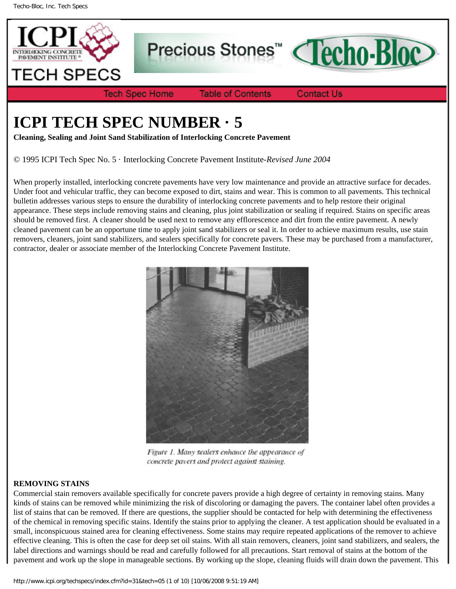

Precious Stones<sup>™</sup>

**Tech Spec Home** 

**Table of Contents** 

**Contact Us** 

**Clecho-Bloc** 

# **ICPI TECH SPEC NUMBER · 5**

**Cleaning, Sealing and Joint Sand Stabilization of Interlocking Concrete Pavement**

© 1995 ICPI Tech Spec No. 5 · Interlocking Concrete Pavement Institute-*Revised June 2004*

When properly installed, interlocking concrete pavements have very low maintenance and provide an attractive surface for decades. Under foot and vehicular traffic, they can become exposed to dirt, stains and wear. This is common to all pavements. This technical bulletin addresses various steps to ensure the durability of interlocking concrete pavements and to help restore their original appearance. These steps include removing stains and cleaning, plus joint stabilization or sealing if required. Stains on specific areas should be removed first. A cleaner should be used next to remove any efflorescence and dirt from the entire pavement. A newly cleaned pavement can be an opportune time to apply joint sand stabilizers or seal it. In order to achieve maximum results, use stain removers, cleaners, joint sand stabilizers, and sealers specifically for concrete pavers. These may be purchased from a manufacturer, contractor, dealer or associate member of the Interlocking Concrete Pavement Institute.



Figure 1. Many sealers enhance the appearance of concrete pavers and protect against staining.

# **REMOVING STAINS**

Commercial stain removers available specifically for concrete pavers provide a high degree of certainty in removing stains. Many kinds of stains can be removed while minimizing the risk of discoloring or damaging the pavers. The container label often provides a list of stains that can be removed. If there are questions, the supplier should be contacted for help with determining the effectiveness of the chemical in removing specific stains. Identify the stains prior to applying the cleaner. A test application should be evaluated in a small, inconspicuous stained area for cleaning effectiveness. Some stains may require repeated applications of the remover to achieve effective cleaning. This is often the case for deep set oil stains. With all stain removers, cleaners, joint sand stabilizers, and sealers, the label directions and warnings should be read and carefully followed for all precautions. Start removal of stains at the bottom of the pavement and work up the slope in manageable sections. By working up the slope, cleaning fluids will drain down the pavement. This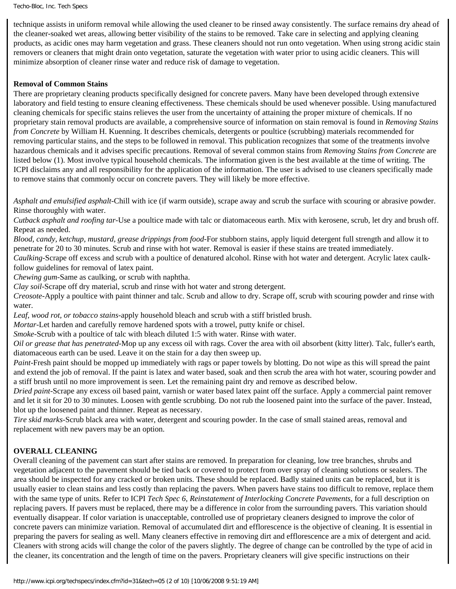technique assists in uniform removal while allowing the used cleaner to be rinsed away consistently. The surface remains dry ahead of the cleaner-soaked wet areas, allowing better visibility of the stains to be removed. Take care in selecting and applying cleaning products, as acidic ones may harm vegetation and grass. These cleaners should not run onto vegetation. When using strong acidic stain removers or cleaners that might drain onto vegetation, saturate the vegetation with water prior to using acidic cleaners. This will minimize absorption of cleaner rinse water and reduce risk of damage to vegetation.

## **Removal of Common Stains**

There are proprietary cleaning products specifically designed for concrete pavers. Many have been developed through extensive laboratory and field testing to ensure cleaning effectiveness. These chemicals should be used whenever possible. Using manufactured cleaning chemicals for specific stains relieves the user from the uncertainty of attaining the proper mixture of chemicals. If no proprietary stain removal products are available, a comprehensive source of information on stain removal is found in *Removing Stains from Concrete* by William H. Kuenning. It describes chemicals, detergents or poultice (scrubbing) materials recommended for removing particular stains, and the steps to be followed in removal. This publication recognizes that some of the treatments involve hazardous chemicals and it advises specific precautions. Removal of several common stains from *Removing Stains from Concrete* are listed below (1). Most involve typical household chemicals. The information given is the best available at the time of writing. The ICPI disclaims any and all responsibility for the application of the information. The user is advised to use cleaners specifically made to remove stains that commonly occur on concrete pavers. They will likely be more effective.

*Asphalt and emulsified asphalt*-Chill with ice (if warm outside), scrape away and scrub the surface with scouring or abrasive powder. Rinse thoroughly with water.

*Cutback asphalt and roofing tar*-Use a poultice made with talc or diatomaceous earth. Mix with kerosene, scrub, let dry and brush off. Repeat as needed.

*Blood, candy, ketchup, mustard, grease drippings from food*-For stubborn stains, apply liquid detergent full strength and allow it to penetrate for 20 to 30 minutes. Scrub and rinse with hot water. Removal is easier if these stains are treated immediately.

*Caulking*-Scrape off excess and scrub with a poultice of denatured alcohol. Rinse with hot water and detergent. Acrylic latex caulkfollow guidelines for removal of latex paint.

*Chewing gum*-Same as caulking, or scrub with naphtha.

*Clay soil*-Scrape off dry material, scrub and rinse with hot water and strong detergent.

*Creosote*-Apply a poultice with paint thinner and talc. Scrub and allow to dry. Scrape off, scrub with scouring powder and rinse with water.

*Leaf, wood rot, or tobacco stains*-apply household bleach and scrub with a stiff bristled brush.

*Mortar*-Let harden and carefully remove hardened spots with a trowel, putty knife or chisel.

*Smoke*-Scrub with a poultice of talc with bleach diluted 1:5 with water. Rinse with water.

*Oil or grease that has penetrated*-Mop up any excess oil with rags. Cover the area with oil absorbent (kitty litter). Talc, fuller's earth, diatomaceous earth can be used. Leave it on the stain for a day then sweep up.

*Paint*-Fresh paint should be mopped up immediately with rags or paper towels by blotting. Do not wipe as this will spread the paint and extend the job of removal. If the paint is latex and water based, soak and then scrub the area with hot water, scouring powder and a stiff brush until no more improvement is seen. Let the remaining paint dry and remove as described below.

*Dried paint*-Scrape any excess oil based paint, varnish or water based latex paint off the surface. Apply a commercial paint remover and let it sit for 20 to 30 minutes. Loosen with gentle scrubbing. Do not rub the loosened paint into the surface of the paver. Instead, blot up the loosened paint and thinner. Repeat as necessary.

*Tire skid marks*-Scrub black area with water, detergent and scouring powder. In the case of small stained areas, removal and replacement with new pavers may be an option.

# **OVERALL CLEANING**

Overall cleaning of the pavement can start after stains are removed. In preparation for cleaning, low tree branches, shrubs and vegetation adjacent to the pavement should be tied back or covered to protect from over spray of cleaning solutions or sealers. The area should be inspected for any cracked or broken units. These should be replaced. Badly stained units can be replaced, but it is usually easier to clean stains and less costly than replacing the pavers. When pavers have stains too difficult to remove, replace them with the same type of units. Refer to ICPI *Tech Spec 6, Reinstatement of Interlocking Concrete Pavements*, for a full description on replacing pavers. If pavers must be replaced, there may be a difference in color from the surrounding pavers. This variation should eventually disappear. If color variation is unacceptable, controlled use of proprietary cleaners designed to improve the color of concrete pavers can minimize variation. Removal of accumulated dirt and efflorescence is the objective of cleaning. It is essential in preparing the pavers for sealing as well. Many cleaners effective in removing dirt and efflorescence are a mix of detergent and acid. Cleaners with strong acids will change the color of the pavers slightly. The degree of change can be controlled by the type of acid in the cleaner, its concentration and the length of time on the pavers. Proprietary cleaners will give specific instructions on their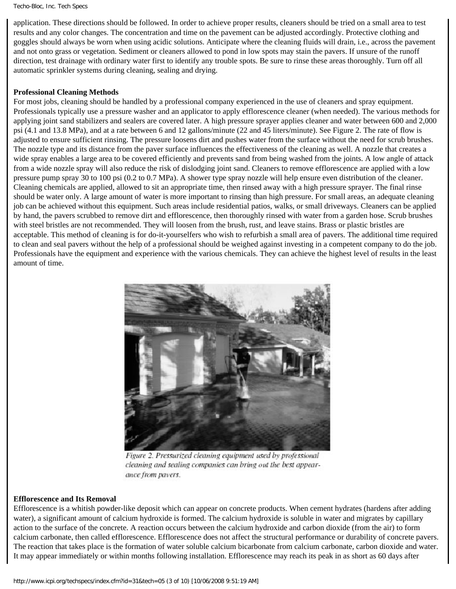#### Techo-Bloc, Inc. Tech Specs

application. These directions should be followed. In order to achieve proper results, cleaners should be tried on a small area to test results and any color changes. The concentration and time on the pavement can be adjusted accordingly. Protective clothing and goggles should always be worn when using acidic solutions. Anticipate where the cleaning fluids will drain, i.e., across the pavement and not onto grass or vegetation. Sediment or cleaners allowed to pond in low spots may stain the pavers. If unsure of the runoff direction, test drainage with ordinary water first to identify any trouble spots. Be sure to rinse these areas thoroughly. Turn off all automatic sprinkler systems during cleaning, sealing and drying.

## **Professional Cleaning Methods**

For most jobs, cleaning should be handled by a professional company experienced in the use of cleaners and spray equipment. Professionals typically use a pressure washer and an applicator to apply efflorescence cleaner (when needed). The various methods for applying joint sand stabilizers and sealers are covered later. A high pressure sprayer applies cleaner and water between 600 and 2,000 psi (4.1 and 13.8 MPa), and at a rate between 6 and 12 gallons/minute (22 and 45 liters/minute). See Figure 2. The rate of flow is adjusted to ensure sufficient rinsing. The pressure loosens dirt and pushes water from the surface without the need for scrub brushes. The nozzle type and its distance from the paver surface influences the effectiveness of the cleaning as well. A nozzle that creates a wide spray enables a large area to be covered efficiently and prevents sand from being washed from the joints. A low angle of attack from a wide nozzle spray will also reduce the risk of dislodging joint sand. Cleaners to remove efflorescence are applied with a low pressure pump spray 30 to 100 psi (0.2 to 0.7 MPa). A shower type spray nozzle will help ensure even distribution of the cleaner. Cleaning chemicals are applied, allowed to sit an appropriate time, then rinsed away with a high pressure sprayer. The final rinse should be water only. A large amount of water is more important to rinsing than high pressure. For small areas, an adequate cleaning job can be achieved without this equipment. Such areas include residential patios, walks, or small driveways. Cleaners can be applied by hand, the pavers scrubbed to remove dirt and efflorescence, then thoroughly rinsed with water from a garden hose. Scrub brushes with steel bristles are not recommended. They will loosen from the brush, rust, and leave stains. Brass or plastic bristles are acceptable. This method of cleaning is for do-it-yourselfers who wish to refurbish a small area of pavers. The additional time required to clean and seal pavers without the help of a professional should be weighed against investing in a competent company to do the job. Professionals have the equipment and experience with the various chemicals. They can achieve the highest level of results in the least amount of time.



Figure 2. Pressurized cleaning equipment used by professional cleaning and sealing companies can bring out the best appearance from pavers.

## **Efflorescence and Its Removal**

Efflorescence is a whitish powder-like deposit which can appear on concrete products. When cement hydrates (hardens after adding water), a significant amount of calcium hydroxide is formed. The calcium hydroxide is soluble in water and migrates by capillary action to the surface of the concrete. A reaction occurs between the calcium hydroxide and carbon dioxide (from the air) to form calcium carbonate, then called efflorescence. Efflorescence does not affect the structural performance or durability of concrete pavers. The reaction that takes place is the formation of water soluble calcium bicarbonate from calcium carbonate, carbon dioxide and water. It may appear immediately or within months following installation. Efflorescence may reach its peak in as short as 60 days after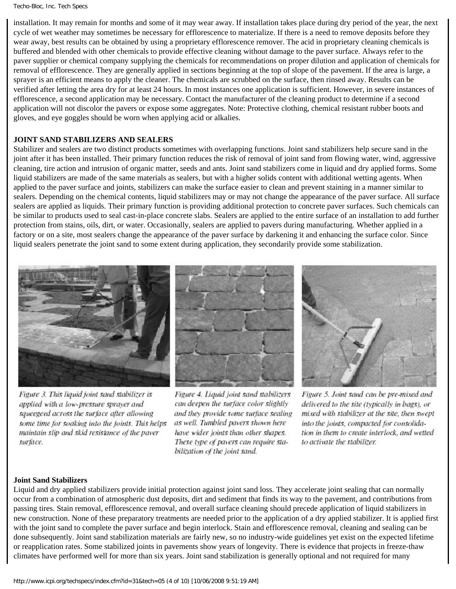installation. It may remain for months and some of it may wear away. If installation takes place during dry period of the year, the next cycle of wet weather may sometimes be necessary for efflorescence to materialize. If there is a need to remove deposits before they wear away, best results can be obtained by using a proprietary efflorescence remover. The acid in proprietary cleaning chemicals is buffered and blended with other chemicals to provide effective cleaning without damage to the paver surface. Always refer to the paver supplier or chemical company supplying the chemicals for recommendations on proper dilution and application of chemicals for removal of efflorescence. They are generally applied in sections beginning at the top of slope of the pavement. If the area is large, a sprayer is an efficient means to apply the cleaner. The chemicals are scrubbed on the surface, then rinsed away. Results can be verified after letting the area dry for at least 24 hours. In most instances one application is sufficient. However, in severe instances of efflorescence, a second application may be necessary. Contact the manufacturer of the cleaning product to determine if a second application will not discolor the pavers or expose some aggregates. Note: Protective clothing, chemical resistant rubber boots and gloves, and eye goggles should be worn when applying acid or alkalies.

## **JOINT SAND STABILIZERS AND SEALERS**

Stabilizer and sealers are two distinct products sometimes with overlapping functions. Joint sand stabilizers help secure sand in the joint after it has been installed. Their primary function reduces the risk of removal of joint sand from flowing water, wind, aggressive cleaning, tire action and intrusion of organic matter, seeds and ants. Joint sand stabilizers come in liquid and dry applied forms. Some liquid stabilizers are made of the same materials as sealers, but with a higher solids content with additional wetting agents. When applied to the paver surface and joints, stabilizers can make the surface easier to clean and prevent staining in a manner similar to sealers. Depending on the chemical contents, liquid stabilizers may or may not change the appearance of the paver surface. All surface sealers are applied as liquids. Their primary function is providing additional protection to concrete paver surfaces. Such chemicals can be similar to products used to seal cast-in-place concrete slabs. Sealers are applied to the entire surface of an installation to add further protection from stains, oils, dirt, or water. Occasionally, sealers are applied to pavers during manufacturing. Whether applied in a factory or on a site, most sealers change the appearance of the paver surface by darkening it and enhancing the surface color. Since liquid sealers penetrate the joint sand to some extent during application, they secondarily provide some stabilization.



Figure 3. This liquid joint sand stabilizer is applied with a low-pressure sprayer and squeegeed across the surface after allowing some time for soaking into the joints. This helps maintain slip and skid resistance of the paver surface.



Figure 4. Liquid joint sand stabilizers can deepen the surface color slightly and they provide some surface sealing as well. Tumbled pavers shown here have wider joints than other shapes. These type of pavers can require stabilization of the joint sand.



Figure 5. Joint sand can be pre-mixed and delivered to the site (typically in bags), or mixed with stabilizer at the site, then swept into the joints, compacted for consolidation in them to create interlock, and wetted to activate the stabilizer.

#### **Joint Sand Stabilizers**

Liquid and dry applied stabilizers provide initial protection against joint sand loss. They accelerate joint sealing that can normally occur from a combination of atmospheric dust deposits, dirt and sediment that finds its way to the pavement, and contributions from passing tires. Stain removal, efflorescence removal, and overall surface cleaning should precede application of liquid stabilizers in new construction. None of these preparatory treatments are needed prior to the application of a dry applied stabilizer. It is applied first with the joint sand to complete the paver surface and begin interlock. Stain and efflorescence removal, cleaning and sealing can be done subsequently. Joint sand stabilization materials are fairly new, so no industry-wide guidelines yet exist on the expected lifetime or reapplication rates. Some stabilized joints in pavements show years of longevity. There is evidence that projects in freeze-thaw climates have performed well for more than six years. Joint sand stabilization is generally optional and not required for many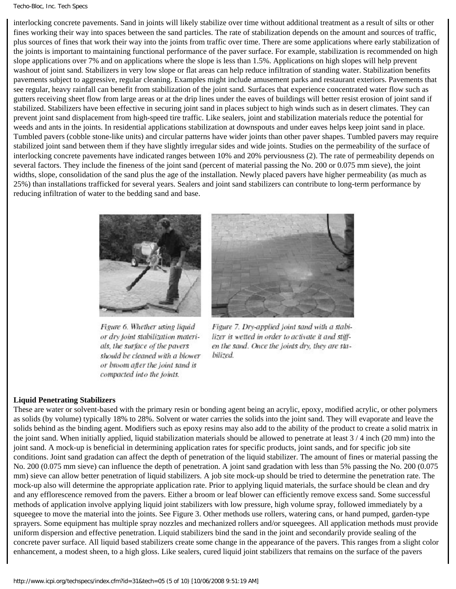#### Techo-Bloc, Inc. Tech Specs

interlocking concrete pavements. Sand in joints will likely stabilize over time without additional treatment as a result of silts or other fines working their way into spaces between the sand particles. The rate of stabilization depends on the amount and sources of traffic, plus sources of fines that work their way into the joints from traffic over time. There are some applications where early stabilization of the joints is important to maintaining functional performance of the paver surface. For example, stabilization is recommended on high slope applications over 7% and on applications where the slope is less than 1.5%. Applications on high slopes will help prevent washout of joint sand. Stabilizers in very low slope or flat areas can help reduce infiltration of standing water. Stabilization benefits pavements subject to aggressive, regular cleaning. Examples might include amusement parks and restaurant exteriors. Pavements that see regular, heavy rainfall can benefit from stabilization of the joint sand. Surfaces that experience concentrated water flow such as gutters receiving sheet flow from large areas or at the drip lines under the eaves of buildings will better resist erosion of joint sand if stabilized. Stabilizers have been effective in securing joint sand in places subject to high winds such as in desert climates. They can prevent joint sand displacement from high-speed tire traffic. Like sealers, joint and stabilization materials reduce the potential for weeds and ants in the joints. In residential applications stabilization at downspouts and under eaves helps keep joint sand in place. Tumbled pavers (cobble stone-like units) and circular patterns have wider joints than other paver shapes. Tumbled pavers may require stabilized joint sand between them if they have slightly irregular sides and wide joints. Studies on the permeability of the surface of interlocking concrete pavements have indicated ranges between 10% and 20% perviousness (2). The rate of permeability depends on several factors. They include the fineness of the joint sand (percent of material passing the No. 200 or 0.075 mm sieve), the joint widths, slope, consolidation of the sand plus the age of the installation. Newly placed pavers have higher permeability (as much as 25%) than installations trafficked for several years. Sealers and joint sand stabilizers can contribute to long-term performance by reducing infiltration of water to the bedding sand and base.



Figure 6. Whether using liquid or dry joint stabilization materials, the surface of the pavers should be cleaned with a blower or broom after the joint sand is compacted into the joints.



Figure 7. Dry-applied joint sand with a stabilizer is wetted in order to activate it and stiffen the sand. Once the joints dry, they are stabilized.

# **Liquid Penetrating Stabilizers**

These are water or solvent-based with the primary resin or bonding agent being an acrylic, epoxy, modified acrylic, or other polymers as solids (by volume) typically 18% to 28%. Solvent or water carries the solids into the joint sand. They will evaporate and leave the solids behind as the binding agent. Modifiers such as epoxy resins may also add to the ability of the product to create a solid matrix in the joint sand. When initially applied, liquid stabilization materials should be allowed to penetrate at least  $3/4$  inch (20 mm) into the joint sand. A mock-up is beneficial in determining application rates for specific products, joint sands, and for specific job site conditions. Joint sand gradation can affect the depth of penetration of the liquid stabilizer. The amount of fines or material passing the No. 200 (0.075 mm sieve) can influence the depth of penetration. A joint sand gradation with less than 5% passing the No. 200 (0.075 mm) sieve can allow better penetration of liquid stabilizers. A job site mock-up should be tried to determine the penetration rate. The mock-up also will determine the appropriate application rate. Prior to applying liquid materials, the surface should be clean and dry and any efflorescence removed from the pavers. Either a broom or leaf blower can efficiently remove excess sand. Some successful methods of application involve applying liquid joint stabilizers with low pressure, high volume spray, followed immediately by a squeegee to move the material into the joints. See Figure 3. Other methods use rollers, watering cans, or hand pumped, garden-type sprayers. Some equipment has multiple spray nozzles and mechanized rollers and/or squeegees. All application methods must provide uniform dispersion and effective penetration. Liquid stabilizers bind the sand in the joint and secondarily provide sealing of the concrete paver surface. All liquid based stabilizers create some change in the appearance of the pavers. This ranges from a slight color enhancement, a modest sheen, to a high gloss. Like sealers, cured liquid joint stabilizers that remains on the surface of the pavers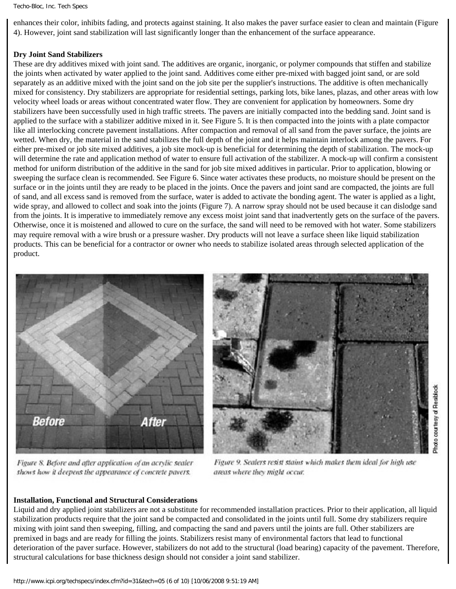Techo-Bloc, Inc. Tech Specs

enhances their color, inhibits fading, and protects against staining. It also makes the paver surface easier to clean and maintain (Figure 4). However, joint sand stabilization will last significantly longer than the enhancement of the surface appearance.

## **Dry Joint Sand Stabilizers**

These are dry additives mixed with joint sand. The additives are organic, inorganic, or polymer compounds that stiffen and stabilize the joints when activated by water applied to the joint sand. Additives come either pre-mixed with bagged joint sand, or are sold separately as an additive mixed with the joint sand on the job site per the supplier's instructions. The additive is often mechanically mixed for consistency. Dry stabilizers are appropriate for residential settings, parking lots, bike lanes, plazas, and other areas with low velocity wheel loads or areas without concentrated water flow. They are convenient for application by homeowners. Some dry stabilizers have been successfully used in high traffic streets. The pavers are initially compacted into the bedding sand. Joint sand is applied to the surface with a stabilizer additive mixed in it. See Figure 5. It is then compacted into the joints with a plate compactor like all interlocking concrete pavement installations. After compaction and removal of all sand from the paver surface, the joints are wetted. When dry, the material in the sand stabilizes the full depth of the joint and it helps maintain interlock among the pavers. For either pre-mixed or job site mixed additives, a job site mock-up is beneficial for determining the depth of stabilization. The mock-up will determine the rate and application method of water to ensure full activation of the stabilizer. A mock-up will confirm a consistent method for uniform distribution of the additive in the sand for job site mixed additives in particular. Prior to application, blowing or sweeping the surface clean is recommended. See Figure 6. Since water activates these products, no moisture should be present on the surface or in the joints until they are ready to be placed in the joints. Once the pavers and joint sand are compacted, the joints are full of sand, and all excess sand is removed from the surface, water is added to activate the bonding agent. The water is applied as a light, wide spray, and allowed to collect and soak into the joints (Figure 7). A narrow spray should not be used because it can dislodge sand from the joints. It is imperative to immediately remove any excess moist joint sand that inadvertently gets on the surface of the pavers. Otherwise, once it is moistened and allowed to cure on the surface, the sand will need to be removed with hot water. Some stabilizers may require removal with a wire brush or a pressure washer. Dry products will not leave a surface sheen like liquid stabilization products. This can be beneficial for a contractor or owner who needs to stabilize isolated areas through selected application of the product.



Figure 8. Before and after application of an acrylic sealer shows how it deepens the appearance of concrete pavers.



Figure 9. Sealers resist stains which makes them ideal for high use areas where they might occur.

# **Installation, Functional and Structural Considerations**

Liquid and dry applied joint stabilizers are not a substitute for recommended installation practices. Prior to their application, all liquid stabilization products require that the joint sand be compacted and consolidated in the joints until full. Some dry stabilizers require mixing with joint sand then sweeping, filling, and compacting the sand and pavers until the joints are full. Other stabilizers are premixed in bags and are ready for filling the joints. Stabilizers resist many of environmental factors that lead to functional deterioration of the paver surface. However, stabilizers do not add to the structural (load bearing) capacity of the pavement. Therefore, structural calculations for base thickness design should not consider a joint sand stabilizer.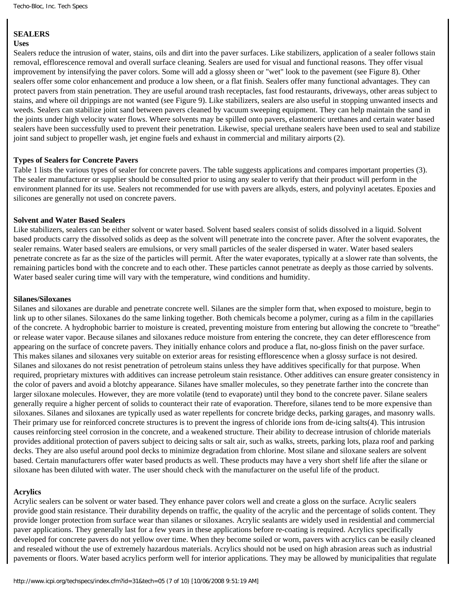## **SEALERS**

#### **Uses**

Sealers reduce the intrusion of water, stains, oils and dirt into the paver surfaces. Like stabilizers, application of a sealer follows stain removal, efflorescence removal and overall surface cleaning. Sealers are used for visual and functional reasons. They offer visual improvement by intensifying the paver colors. Some will add a glossy sheen or "wet" look to the pavement (see Figure 8). Other sealers offer some color enhancement and produce a low sheen, or a flat finish. Sealers offer many functional advantages. They can protect pavers from stain penetration. They are useful around trash receptacles, fast food restaurants, driveways, other areas subject to stains, and where oil drippings are not wanted (see Figure 9). Like stabilizers, sealers are also useful in stopping unwanted insects and weeds. Sealers can stabilize joint sand between pavers cleaned by vacuum sweeping equipment. They can help maintain the sand in the joints under high velocity water flows. Where solvents may be spilled onto pavers, elastomeric urethanes and certain water based sealers have been successfully used to prevent their penetration. Likewise, special urethane sealers have been used to seal and stabilize joint sand subject to propeller wash, jet engine fuels and exhaust in commercial and military airports (2).

#### **Types of Sealers for Concrete Pavers**

Table 1 lists the various types of sealer for concrete pavers. The table suggests applications and compares important properties (3). The sealer manufacturer or supplier should be consulted prior to using any sealer to verify that their product will perform in the environment planned for its use. Sealers not recommended for use with pavers are alkyds, esters, and polyvinyl acetates. Epoxies and silicones are generally not used on concrete pavers.

#### **Solvent and Water Based Sealers**

Like stabilizers, sealers can be either solvent or water based. Solvent based sealers consist of solids dissolved in a liquid. Solvent based products carry the dissolved solids as deep as the solvent will penetrate into the concrete paver. After the solvent evaporates, the sealer remains. Water based sealers are emulsions, or very small particles of the sealer dispersed in water. Water based sealers penetrate concrete as far as the size of the particles will permit. After the water evaporates, typically at a slower rate than solvents, the remaining particles bond with the concrete and to each other. These particles cannot penetrate as deeply as those carried by solvents. Water based sealer curing time will vary with the temperature, wind conditions and humidity.

#### **Silanes/Siloxanes**

Silanes and siloxanes are durable and penetrate concrete well. Silanes are the simpler form that, when exposed to moisture, begin to link up to other silanes. Siloxanes do the same linking together. Both chemicals become a polymer, curing as a film in the capillaries of the concrete. A hydrophobic barrier to moisture is created, preventing moisture from entering but allowing the concrete to "breathe" or release water vapor. Because silanes and siloxanes reduce moisture from entering the concrete, they can deter efflorescence from appearing on the surface of concrete pavers. They initially enhance colors and produce a flat, no-gloss finish on the paver surface. This makes silanes and siloxanes very suitable on exterior areas for resisting efflorescence when a glossy surface is not desired. Silanes and siloxanes do not resist penetration of petroleum stains unless they have additives specifically for that purpose. When required, proprietary mixtures with additives can increase petroleum stain resistance. Other additives can ensure greater consistency in the color of pavers and avoid a blotchy appearance. Silanes have smaller molecules, so they penetrate farther into the concrete than larger siloxane molecules. However, they are more volatile (tend to evaporate) until they bond to the concrete paver. Silane sealers generally require a higher percent of solids to counteract their rate of evaporation. Therefore, silanes tend to be more expensive than siloxanes. Silanes and siloxanes are typically used as water repellents for concrete bridge decks, parking garages, and masonry walls. Their primary use for reinforced concrete structures is to prevent the ingress of chloride ions from de-icing salts(4). This intrusion causes reinforcing steel corrosion in the concrete, and a weakened structure. Their ability to decrease intrusion of chloride materials provides additional protection of pavers subject to deicing salts or salt air, such as walks, streets, parking lots, plaza roof and parking decks. They are also useful around pool decks to minimize degradation from chlorine. Most silane and siloxane sealers are solvent based. Certain manufacturers offer water based products as well. These products may have a very short shelf life after the silane or siloxane has been diluted with water. The user should check with the manufacturer on the useful life of the product.

#### **Acrylics**

Acrylic sealers can be solvent or water based. They enhance paver colors well and create a gloss on the surface. Acrylic sealers provide good stain resistance. Their durability depends on traffic, the quality of the acrylic and the percentage of solids content. They provide longer protection from surface wear than silanes or siloxanes. Acrylic sealants are widely used in residential and commercial paver applications. They generally last for a few years in these applications before re-coating is required. Acrylics specifically developed for concrete pavers do not yellow over time. When they become soiled or worn, pavers with acrylics can be easily cleaned and resealed without the use of extremely hazardous materials. Acrylics should not be used on high abrasion areas such as industrial pavements or floors. Water based acrylics perform well for interior applications. They may be allowed by municipalities that regulate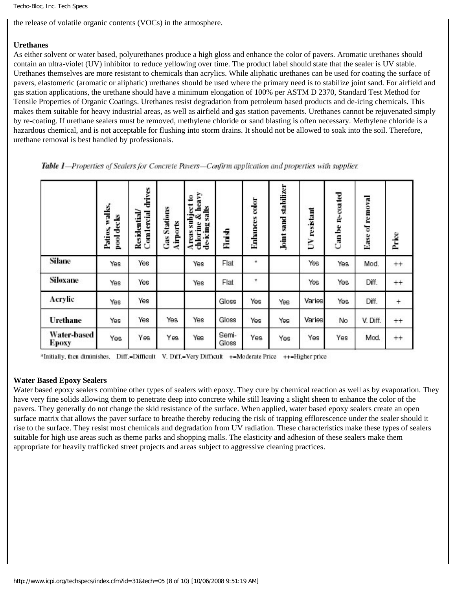the release of volatile organic contents (VOCs) in the atmosphere.

#### **Urethanes**

As either solvent or water based, polyurethanes produce a high gloss and enhance the color of pavers. Aromatic urethanes should contain an ultra-violet (UV) inhibitor to reduce yellowing over time. The product label should state that the sealer is UV stable. Urethanes themselves are more resistant to chemicals than acrylics. While aliphatic urethanes can be used for coating the surface of pavers, elastomeric (aromatic or aliphatic) urethanes should be used where the primary need is to stabilize joint sand. For airfield and gas station applications, the urethane should have a minimum elongation of 100% per ASTM D 2370, Standard Test Method for Tensile Properties of Organic Coatings. Urethanes resist degradation from petroleum based products and de-icing chemicals. This makes them suitable for heavy industrial areas, as well as airfield and gas station pavements. Urethanes cannot be rejuvenated simply by re-coating. If urethane sealers must be removed, methylene chloride or sand blasting is often necessary. Methylene chloride is a hazardous chemical, and is not acceptable for flushing into storm drains. It should not be allowed to soak into the soil. Therefore, urethane removal is best handled by professionals.

|                             | walks,<br>pool decks<br>Patios | drives<br>Residential/<br>Comlercial | <b>Gas Stations</b><br>Airports | reavy<br>Ξ<br>E<br>salts<br>ang<br>an<br>chlorine<br>de-icing<br>Areas | Finish         | Enhances color | Joint sand stabilizer | UV resistant | Can be re-coated | Ease of removal | Price   |
|-----------------------------|--------------------------------|--------------------------------------|---------------------------------|------------------------------------------------------------------------|----------------|----------------|-----------------------|--------------|------------------|-----------------|---------|
| <b>Silane</b>               | Yes                            | Yes                                  |                                 | Yes                                                                    | Flat           | $\star$        |                       | Yes          | Yes              | Mod.            | $^{++}$ |
| Siloxane                    | Yes                            | Yes                                  |                                 | Yes                                                                    | Flat           | ŧ              |                       | Yes          | Yes              | Diff.           | $^{++}$ |
| Acrylic                     | Yes                            | Yes                                  |                                 |                                                                        | Gloss          | Yes            | Yes                   | Varies       | Yes              | Diff.           | $^{+}$  |
| Urethane                    | Yes                            | Yes                                  | Yes                             | Yes                                                                    | Gloss          | Yes            | Yes                   | Varies       | No               | V. Diff.        | $^{++}$ |
| <b>Water-based</b><br>Epoxy | Yes                            | Yes                                  | Yes                             | Yes                                                                    | Semi-<br>Gloss | Yes            | Yes                   | Yes          | Yes              | Mod.            | $^{++}$ |

Table 1—Properties of Sealers for Concrete Pavers—Confirm application and properties with supplier.

\*Initially, then diminishes. Diff.=Difficult V. Diff.=Very Difficult +=Moderate Price ++=Higher price

## **Water Based Epoxy Sealers**

Water based epoxy sealers combine other types of sealers with epoxy. They cure by chemical reaction as well as by evaporation. They have very fine solids allowing them to penetrate deep into concrete while still leaving a slight sheen to enhance the color of the pavers. They generally do not change the skid resistance of the surface. When applied, water based epoxy sealers create an open surface matrix that allows the paver surface to breathe thereby reducing the risk of trapping efflorescence under the sealer should it rise to the surface. They resist most chemicals and degradation from UV radiation. These characteristics make these types of sealers suitable for high use areas such as theme parks and shopping malls. The elasticity and adhesion of these sealers make them appropriate for heavily trafficked street projects and areas subject to aggressive cleaning practices.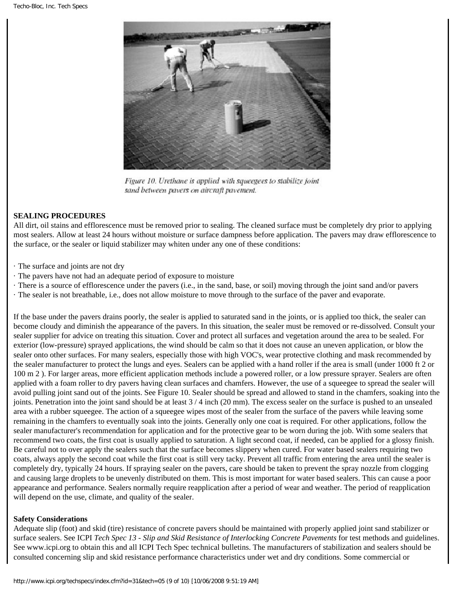

Figure 10. Urethane is applied with squeegees to stabilize joint sand between pavers on aircraft pavement.

#### **SEALING PROCEDURES**

All dirt, oil stains and efflorescence must be removed prior to sealing. The cleaned surface must be completely dry prior to applying most sealers. Allow at least 24 hours without moisture or surface dampness before application. The pavers may draw efflorescence to the surface, or the sealer or liquid stabilizer may whiten under any one of these conditions:

- · The surface and joints are not dry
- · The pavers have not had an adequate period of exposure to moisture
- · There is a source of efflorescence under the pavers (i.e., in the sand, base, or soil) moving through the joint sand and/or pavers
- · The sealer is not breathable, i.e., does not allow moisture to move through to the surface of the paver and evaporate.

If the base under the pavers drains poorly, the sealer is applied to saturated sand in the joints, or is applied too thick, the sealer can become cloudy and diminish the appearance of the pavers. In this situation, the sealer must be removed or re-dissolved. Consult your sealer supplier for advice on treating this situation. Cover and protect all surfaces and vegetation around the area to be sealed. For exterior (low-pressure) sprayed applications, the wind should be calm so that it does not cause an uneven application, or blow the sealer onto other surfaces. For many sealers, especially those with high VOC's, wear protective clothing and mask recommended by the sealer manufacturer to protect the lungs and eyes. Sealers can be applied with a hand roller if the area is small (under 1000 ft 2 or 100 m 2 ). For larger areas, more efficient application methods include a powered roller, or a low pressure sprayer. Sealers are often applied with a foam roller to dry pavers having clean surfaces and chamfers. However, the use of a squeegee to spread the sealer will avoid pulling joint sand out of the joints. See Figure 10. Sealer should be spread and allowed to stand in the chamfers, soaking into the joints. Penetration into the joint sand should be at least 3 / 4 inch (20 mm). The excess sealer on the surface is pushed to an unsealed area with a rubber squeegee. The action of a squeegee wipes most of the sealer from the surface of the pavers while leaving some remaining in the chamfers to eventually soak into the joints. Generally only one coat is required. For other applications, follow the sealer manufacturer's recommendation for application and for the protective gear to be worn during the job. With some sealers that recommend two coats, the first coat is usually applied to saturation. A light second coat, if needed, can be applied for a glossy finish. Be careful not to over apply the sealers such that the surface becomes slippery when cured. For water based sealers requiring two coats, always apply the second coat while the first coat is still very tacky. Prevent all traffic from entering the area until the sealer is completely dry, typically 24 hours. If spraying sealer on the pavers, care should be taken to prevent the spray nozzle from clogging and causing large droplets to be unevenly distributed on them. This is most important for water based sealers. This can cause a poor appearance and performance. Sealers normally require reapplication after a period of wear and weather. The period of reapplication will depend on the use, climate, and quality of the sealer.

## **Safety Considerations**

Adequate slip (foot) and skid (tire) resistance of concrete pavers should be maintained with properly applied joint sand stabilizer or surface sealers. See ICPI *Tech Spec 13 - Slip and Skid Resistance of Interlocking Concrete Pavements* for test methods and guidelines. See www.icpi.org to obtain this and all ICPI Tech Spec technical bulletins. The manufacturers of stabilization and sealers should be consulted concerning slip and skid resistance performance characteristics under wet and dry conditions. Some commercial or